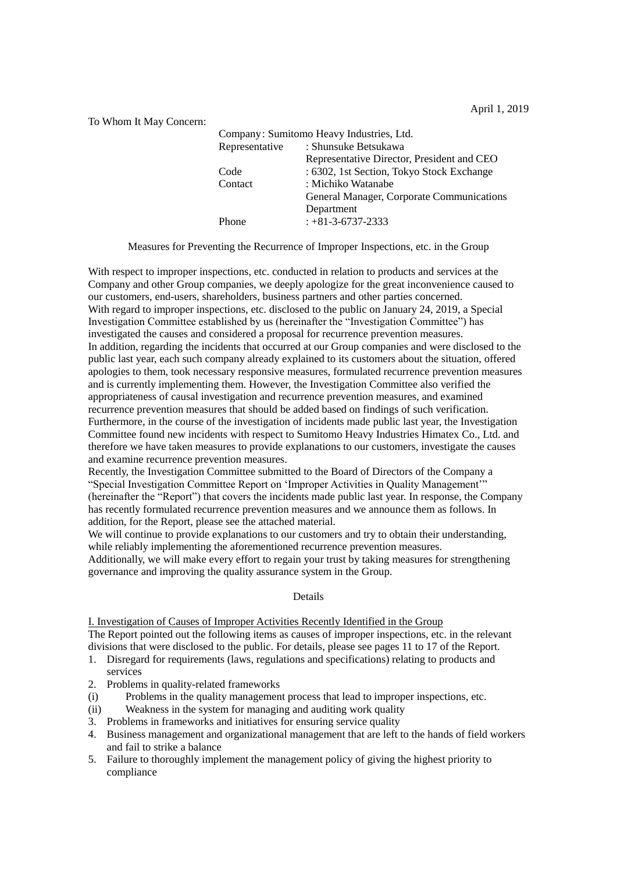To Whom It May Concern:

|                | Company: Sumitomo Heavy Industries, Ltd.   |
|----------------|--------------------------------------------|
| Representative | : Shunsuke Betsukawa                       |
|                | Representative Director, President and CEO |
| Code           | : 6302, 1st Section, Tokyo Stock Exchange  |
| Contact        | : Michiko Watanabe                         |
|                | General Manager, Corporate Communications  |
|                | Department                                 |
| Phone          | $: +81-3-6737-2333$                        |
|                |                                            |

Measures for Preventing the Recurrence of Improper Inspections, etc. in the Group

With respect to improper inspections, etc. conducted in relation to products and services at the Company and other Group companies, we deeply apologize for the great inconvenience caused to our customers, end-users, shareholders, business partners and other parties concerned. With regard to improper inspections, etc. disclosed to the public on January 24, 2019, a Special Investigation Committee established by us (hereinafter the "Investigation Committee") has investigated the causes and considered a proposal for recurrence prevention measures. In addition, regarding the incidents that occurred at our Group companies and were disclosed to the public last year, each such company already explained to its customers about the situation, offered apologies to them, took necessary responsive measures, formulated recurrence prevention measures and is currently implementing them. However, the Investigation Committee also verified the appropriateness of causal investigation and recurrence prevention measures, and examined recurrence prevention measures that should be added based on findings of such verification. Furthermore, in the course of the investigation of incidents made public last year, the Investigation Committee found new incidents with respect to Sumitomo Heavy Industries Himatex Co., Ltd. and therefore we have taken measures to provide explanations to our customers, investigate the causes and examine recurrence prevention measures.

Recently, the Investigation Committee submitted to the Board of Directors of the Company a "Special Investigation Committee Report on 'Improper Activities in Quality Management'" (hereinafter the "Report") that covers the incidents made public last year. In response, the Company has recently formulated recurrence prevention measures and we announce them as follows. In addition, for the Report, please see the attached material.

We will continue to provide explanations to our customers and try to obtain their understanding, while reliably implementing the aforementioned recurrence prevention measures.

Additionally, we will make every effort to regain your trust by taking measures for strengthening governance and improving the quality assurance system in the Group.

## Details

I. Investigation of Causes of Improper Activities Recently Identified in the Group

The Report pointed out the following items as causes of improper inspections, etc. in the relevant divisions that were disclosed to the public. For details, please see pages 11 to 17 of the Report.

- 1. Disregard for requirements (laws, regulations and specifications) relating to products and services
- 2. Problems in quality-related frameworks
- (i) Problems in the quality management process that lead to improper inspections, etc.
- (ii) Weakness in the system for managing and auditing work quality
- 3. Problems in frameworks and initiatives for ensuring service quality
- 4. Business management and organizational management that are left to the hands of field workers and fail to strike a balance
- 5. Failure to thoroughly implement the management policy of giving the highest priority to compliance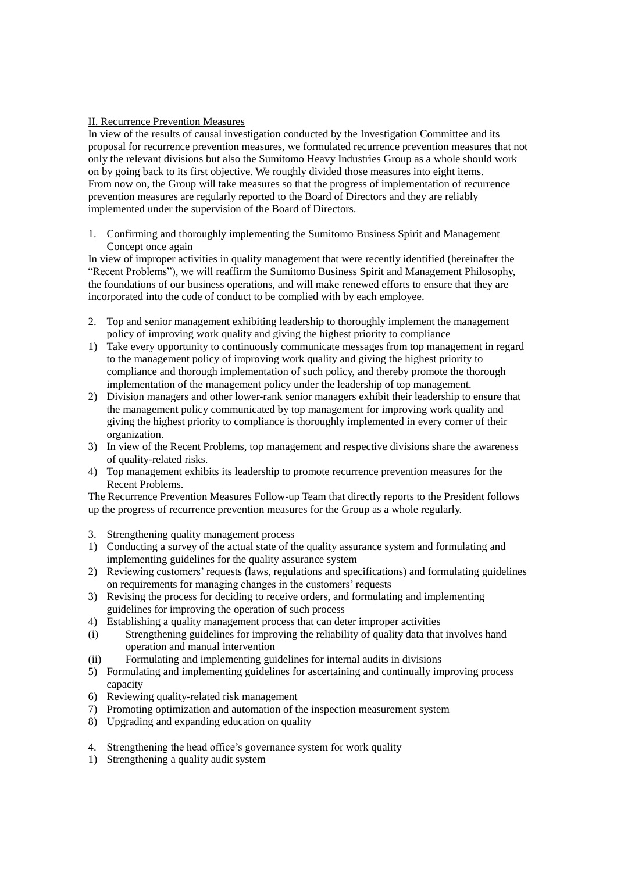## II. Recurrence Prevention Measures

In view of the results of causal investigation conducted by the Investigation Committee and its proposal for recurrence prevention measures, we formulated recurrence prevention measures that not only the relevant divisions but also the Sumitomo Heavy Industries Group as a whole should work on by going back to its first objective. We roughly divided those measures into eight items. From now on, the Group will take measures so that the progress of implementation of recurrence prevention measures are regularly reported to the Board of Directors and they are reliably implemented under the supervision of the Board of Directors.

1. Confirming and thoroughly implementing the Sumitomo Business Spirit and Management Concept once again

In view of improper activities in quality management that were recently identified (hereinafter the "Recent Problems"), we will reaffirm the Sumitomo Business Spirit and Management Philosophy, the foundations of our business operations, and will make renewed efforts to ensure that they are incorporated into the code of conduct to be complied with by each employee.

- 2. Top and senior management exhibiting leadership to thoroughly implement the management policy of improving work quality and giving the highest priority to compliance
- 1) Take every opportunity to continuously communicate messages from top management in regard to the management policy of improving work quality and giving the highest priority to compliance and thorough implementation of such policy, and thereby promote the thorough implementation of the management policy under the leadership of top management.
- 2) Division managers and other lower-rank senior managers exhibit their leadership to ensure that the management policy communicated by top management for improving work quality and giving the highest priority to compliance is thoroughly implemented in every corner of their organization.
- 3) In view of the Recent Problems, top management and respective divisions share the awareness of quality-related risks.
- 4) Top management exhibits its leadership to promote recurrence prevention measures for the Recent Problems.

The Recurrence Prevention Measures Follow-up Team that directly reports to the President follows up the progress of recurrence prevention measures for the Group as a whole regularly.

- 3. Strengthening quality management process
- 1) Conducting a survey of the actual state of the quality assurance system and formulating and implementing guidelines for the quality assurance system
- 2) Reviewing customers' requests (laws, regulations and specifications) and formulating guidelines on requirements for managing changes in the customers' requests
- 3) Revising the process for deciding to receive orders, and formulating and implementing guidelines for improving the operation of such process
- 4) Establishing a quality management process that can deter improper activities
- (i) Strengthening guidelines for improving the reliability of quality data that involves hand operation and manual intervention
- (ii) Formulating and implementing guidelines for internal audits in divisions
- 5) Formulating and implementing guidelines for ascertaining and continually improving process capacity
- 6) Reviewing quality-related risk management
- 7) Promoting optimization and automation of the inspection measurement system
- 8) Upgrading and expanding education on quality
- 4. Strengthening the head office's governance system for work quality
- 1) Strengthening a quality audit system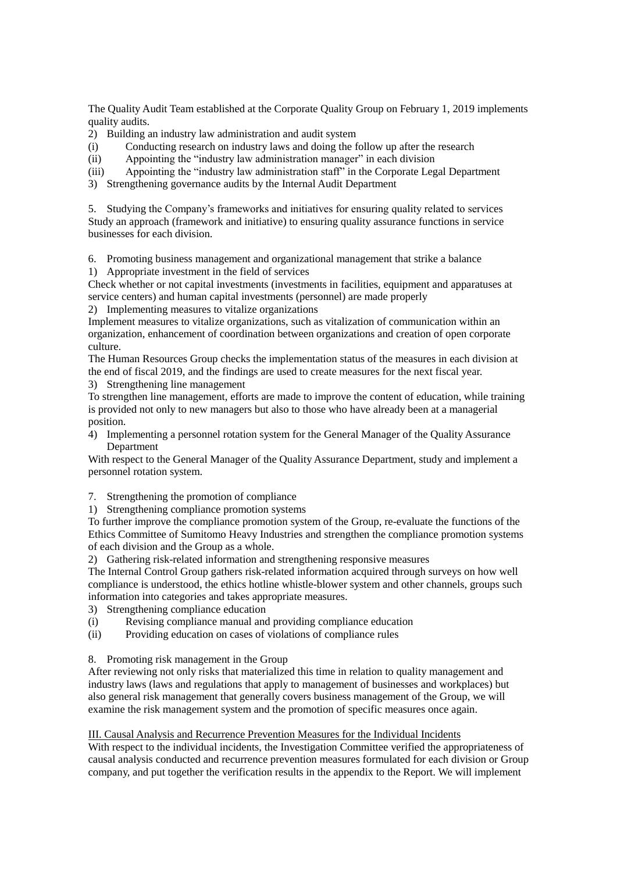The Quality Audit Team established at the Corporate Quality Group on February 1, 2019 implements quality audits.

- 2) Building an industry law administration and audit system<br>(i) Conducting research on industry laws and doing the f
- Conducting research on industry laws and doing the follow up after the research
- (ii) Appointing the "industry law administration manager" in each division
- (iii) Appointing the "industry law administration staff" in the Corporate Legal Department
- 3) Strengthening governance audits by the Internal Audit Department

5. Studying the Company's frameworks and initiatives for ensuring quality related to services Study an approach (framework and initiative) to ensuring quality assurance functions in service businesses for each division.

6. Promoting business management and organizational management that strike a balance

1) Appropriate investment in the field of services

Check whether or not capital investments (investments in facilities, equipment and apparatuses at service centers) and human capital investments (personnel) are made properly

2) Implementing measures to vitalize organizations

Implement measures to vitalize organizations, such as vitalization of communication within an organization, enhancement of coordination between organizations and creation of open corporate culture.

The Human Resources Group checks the implementation status of the measures in each division at the end of fiscal 2019, and the findings are used to create measures for the next fiscal year. 3) Strengthening line management

To strengthen line management, efforts are made to improve the content of education, while training is provided not only to new managers but also to those who have already been at a managerial position.

4) Implementing a personnel rotation system for the General Manager of the Quality Assurance Department

With respect to the General Manager of the Quality Assurance Department, study and implement a personnel rotation system.

- 7. Strengthening the promotion of compliance
- 1) Strengthening compliance promotion systems

To further improve the compliance promotion system of the Group, re-evaluate the functions of the Ethics Committee of Sumitomo Heavy Industries and strengthen the compliance promotion systems of each division and the Group as a whole.

2) Gathering risk-related information and strengthening responsive measures

The Internal Control Group gathers risk-related information acquired through surveys on how well compliance is understood, the ethics hotline whistle-blower system and other channels, groups such information into categories and takes appropriate measures.

- 3) Strengthening compliance education
- (i) Revising compliance manual and providing compliance education
- (ii) Providing education on cases of violations of compliance rules
- 8. Promoting risk management in the Group

After reviewing not only risks that materialized this time in relation to quality management and industry laws (laws and regulations that apply to management of businesses and workplaces) but also general risk management that generally covers business management of the Group, we will examine the risk management system and the promotion of specific measures once again.

## III. Causal Analysis and Recurrence Prevention Measures for the Individual Incidents

With respect to the individual incidents, the Investigation Committee verified the appropriateness of causal analysis conducted and recurrence prevention measures formulated for each division or Group company, and put together the verification results in the appendix to the Report. We will implement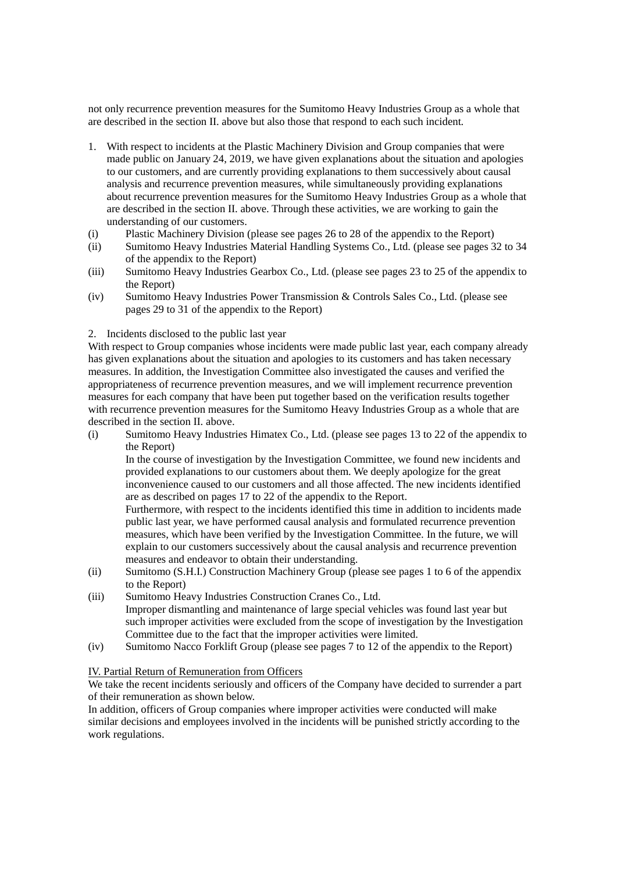not only recurrence prevention measures for the Sumitomo Heavy Industries Group as a whole that are described in the section II. above but also those that respond to each such incident.

- 1. With respect to incidents at the Plastic Machinery Division and Group companies that were made public on January 24, 2019, we have given explanations about the situation and apologies to our customers, and are currently providing explanations to them successively about causal analysis and recurrence prevention measures, while simultaneously providing explanations about recurrence prevention measures for the Sumitomo Heavy Industries Group as a whole that are described in the section II. above. Through these activities, we are working to gain the understanding of our customers.
- (i) Plastic Machinery Division (please see pages 26 to 28 of the appendix to the Report)
- (ii) Sumitomo Heavy Industries Material Handling Systems Co., Ltd. (please see pages 32 to 34 of the appendix to the Report)
- (iii) Sumitomo Heavy Industries Gearbox Co., Ltd. (please see pages 23 to 25 of the appendix to the Report)
- (iv) Sumitomo Heavy Industries Power Transmission & Controls Sales Co., Ltd. (please see pages 29 to 31 of the appendix to the Report)

2. Incidents disclosed to the public last year

With respect to Group companies whose incidents were made public last year, each company already has given explanations about the situation and apologies to its customers and has taken necessary measures. In addition, the Investigation Committee also investigated the causes and verified the appropriateness of recurrence prevention measures, and we will implement recurrence prevention measures for each company that have been put together based on the verification results together with recurrence prevention measures for the Sumitomo Heavy Industries Group as a whole that are described in the section II. above.

(i) Sumitomo Heavy Industries Himatex Co., Ltd. (please see pages 13 to 22 of the appendix to the Report)

In the course of investigation by the Investigation Committee, we found new incidents and provided explanations to our customers about them. We deeply apologize for the great inconvenience caused to our customers and all those affected. The new incidents identified are as described on pages 17 to 22 of the appendix to the Report.

Furthermore, with respect to the incidents identified this time in addition to incidents made public last year, we have performed causal analysis and formulated recurrence prevention measures, which have been verified by the Investigation Committee. In the future, we will explain to our customers successively about the causal analysis and recurrence prevention measures and endeavor to obtain their understanding.

- (ii) Sumitomo (S.H.I.) Construction Machinery Group (please see pages 1 to 6 of the appendix to the Report)
- (iii) Sumitomo Heavy Industries Construction Cranes Co., Ltd. Improper dismantling and maintenance of large special vehicles was found last year but such improper activities were excluded from the scope of investigation by the Investigation Committee due to the fact that the improper activities were limited.
- (iv) Sumitomo Nacco Forklift Group (please see pages 7 to 12 of the appendix to the Report)

## IV. Partial Return of Remuneration from Officers

We take the recent incidents seriously and officers of the Company have decided to surrender a part of their remuneration as shown below.

In addition, officers of Group companies where improper activities were conducted will make similar decisions and employees involved in the incidents will be punished strictly according to the work regulations.